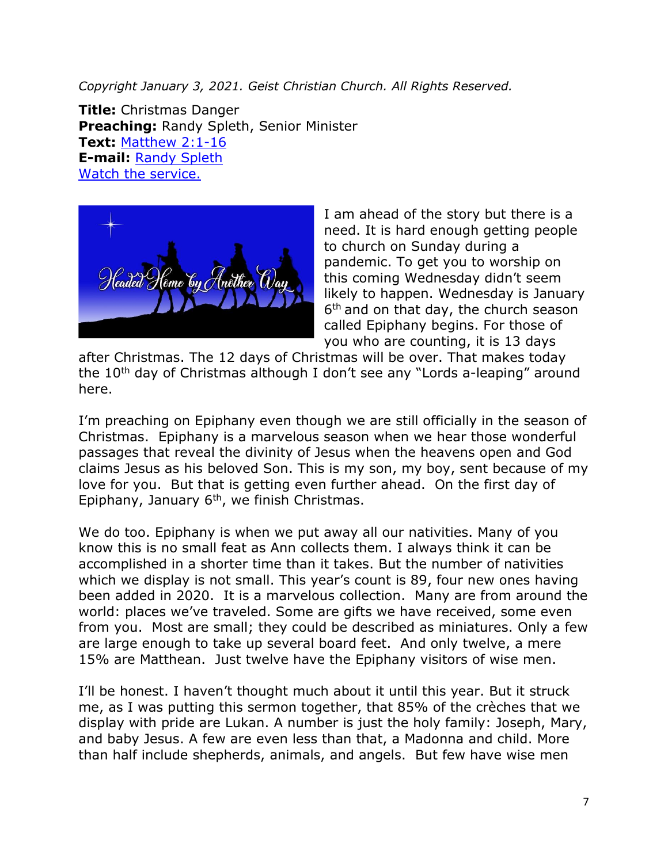*Copyright January 3, 2021. Geist Christian Church. All Rights Reserved.* 

**Title:** Christmas Danger **Preaching:** Randy Spleth, Senior Minister **Text:** [Matthew 2:1-16](https://www.biblegateway.com/passage/?search=Matthew+2%3A1-16&version=NRSV) **E-mail:** [Randy Spleth](mailto:randy.spleth@geistchristian.org) [Watch the service.](https://www.youtube.com/watch?v=hNWY9wofDRU)



I am ahead of the story but there is a need. It is hard enough getting people to church on Sunday during a pandemic. To get you to worship on this coming Wednesday didn't seem likely to happen. Wednesday is January 6 th and on that day, the church season called Epiphany begins. For those of you who are counting, it is 13 days

after Christmas. The 12 days of Christmas will be over. That makes today the 10<sup>th</sup> day of Christmas although I don't see any "Lords a-leaping" around here.

I'm preaching on Epiphany even though we are still officially in the season of Christmas. Epiphany is a marvelous season when we hear those wonderful passages that reveal the divinity of Jesus when the heavens open and God claims Jesus as his beloved Son. This is my son, my boy, sent because of my love for you. But that is getting even further ahead. On the first day of Epiphany, January 6<sup>th</sup>, we finish Christmas.

We do too. Epiphany is when we put away all our nativities. Many of you know this is no small feat as Ann collects them. I always think it can be accomplished in a shorter time than it takes. But the number of nativities which we display is not small. This year's count is 89, four new ones having been added in 2020. It is a marvelous collection. Many are from around the world: places we've traveled. Some are gifts we have received, some even from you. Most are small; they could be described as miniatures. Only a few are large enough to take up several board feet. And only twelve, a mere 15% are Matthean. Just twelve have the Epiphany visitors of wise men.

I'll be honest. I haven't thought much about it until this year. But it struck me, as I was putting this sermon together, that 85% of the crèches that we display with pride are Lukan. A number is just the holy family: Joseph, Mary, and baby Jesus. A few are even less than that, a Madonna and child. More than half include shepherds, animals, and angels. But few have wise men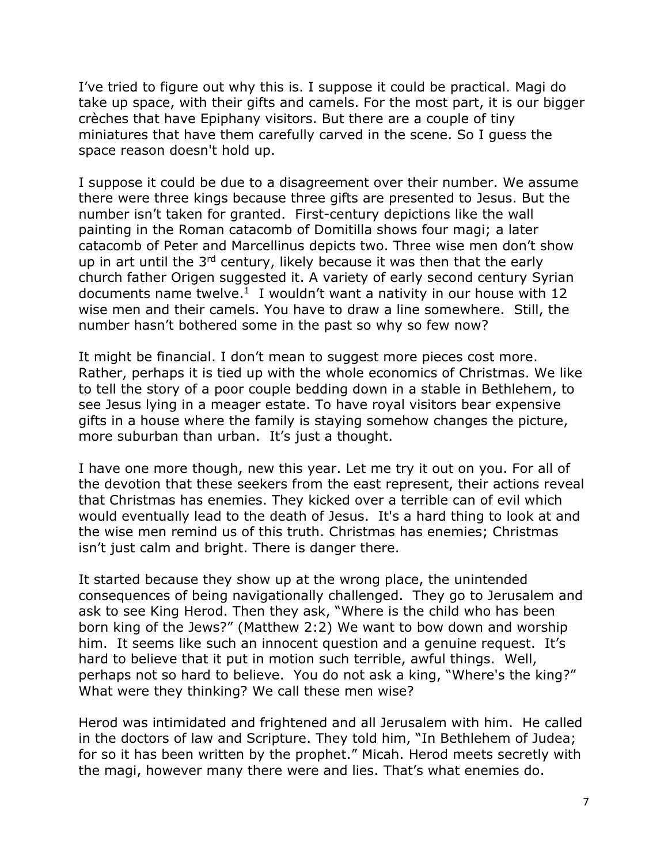I've tried to figure out why this is. I suppose it could be practical. Magi do take up space, with their gifts and camels. For the most part, it is our bigger crèches that have Epiphany visitors. But there are a couple of tiny miniatures that have them carefully carved in the scene. So I guess the space reason doesn't hold up.

I suppose it could be due to a disagreement over their number. We assume there were three kings because three gifts are presented to Jesus. But the number isn't taken for granted. First-century depictions like the wall painting in the Roman catacomb of Domitilla shows four magi; a later catacomb of Peter and Marcellinus depicts two. Three wise men don't show up in art until the  $3^{rd}$  century, likely because it was then that the early church father Origen suggested it. A variety of early second century Syrian documents name twelve. $1$  I wouldn't want a nativity in our house with 12 wise men and their camels. You have to draw a line somewhere. Still, the number hasn't bothered some in the past so why so few now?

It might be financial. I don't mean to suggest more pieces cost more. Rather, perhaps it is tied up with the whole economics of Christmas. We like to tell the story of a poor couple bedding down in a stable in Bethlehem, to see Jesus lying in a meager estate. To have royal visitors bear expensive gifts in a house where the family is staying somehow changes the picture, more suburban than urban. It's just a thought.

I have one more though, new this year. Let me try it out on you. For all of the devotion that these seekers from the east represent, their actions reveal that Christmas has enemies. They kicked over a terrible can of evil which would eventually lead to the death of Jesus. It's a hard thing to look at and the wise men remind us of this truth. Christmas has enemies; Christmas isn't just calm and bright. There is danger there.

It started because they show up at the wrong place, the unintended consequences of being navigationally challenged. They go to Jerusalem and ask to see King Herod. Then they ask, "Where is the child who has been born king of the Jews?" (Matthew 2:2) We want to bow down and worship him. It seems like such an innocent question and a genuine request. It's hard to believe that it put in motion such terrible, awful things. Well, perhaps not so hard to believe. You do not ask a king, "Where's the king?" What were they thinking? We call these men wise?

Herod was intimidated and frightened and all Jerusalem with him. He called in the doctors of law and Scripture. They told him, "In Bethlehem of Judea; for so it has been written by the prophet." Micah. Herod meets secretly with the magi, however many there were and lies. That's what enemies do.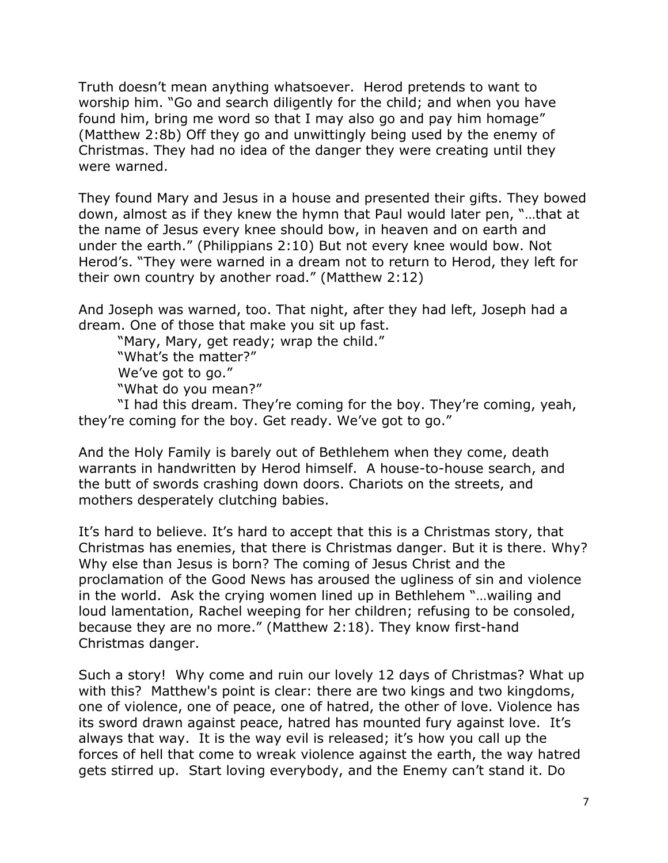Truth doesn't mean anything whatsoever. Herod pretends to want to worship him. "Go and search diligently for the child; and when you have found him, bring me word so that I may also go and pay him homage" (Matthew 2:8b) Off they go and unwittingly being used by the enemy of Christmas. They had no idea of the danger they were creating until they were warned.

They found Mary and Jesus in a house and presented their gifts. They bowed down, almost as if they knew the hymn that Paul would later pen, "…that at the name of Jesus every knee should bow, in heaven and on earth and under the earth." (Philippians 2:10) But not every knee would bow. Not Herod's. "They were warned in a dream not to return to Herod, they left for their own country by another road." (Matthew 2:12)

And Joseph was warned, too. That night, after they had left, Joseph had a dream. One of those that make you sit up fast.

"Mary, Mary, get ready; wrap the child." "What's the matter?" We've got to go." "What do you mean?"

"I had this dream. They're coming for the boy. They're coming, yeah, they're coming for the boy. Get ready. We've got to go."

And the Holy Family is barely out of Bethlehem when they come, death warrants in handwritten by Herod himself. A house-to-house search, and the butt of swords crashing down doors. Chariots on the streets, and mothers desperately clutching babies.

It's hard to believe. It's hard to accept that this is a Christmas story, that Christmas has enemies, that there is Christmas danger. But it is there. Why? Why else than Jesus is born? The coming of Jesus Christ and the proclamation of the Good News has aroused the ugliness of sin and violence in the world. Ask the crying women lined up in Bethlehem "…wailing and loud lamentation, Rachel weeping for her children; refusing to be consoled, because they are no more." (Matthew 2:18). They know first-hand Christmas danger.

Such a story! Why come and ruin our lovely 12 days of Christmas? What up with this? Matthew's point is clear: there are two kings and two kingdoms, one of violence, one of peace, one of hatred, the other of love. Violence has its sword drawn against peace, hatred has mounted fury against love. It's always that way. It is the way evil is released; it's how you call up the forces of hell that come to wreak violence against the earth, the way hatred gets stirred up. Start loving everybody, and the Enemy can't stand it. Do